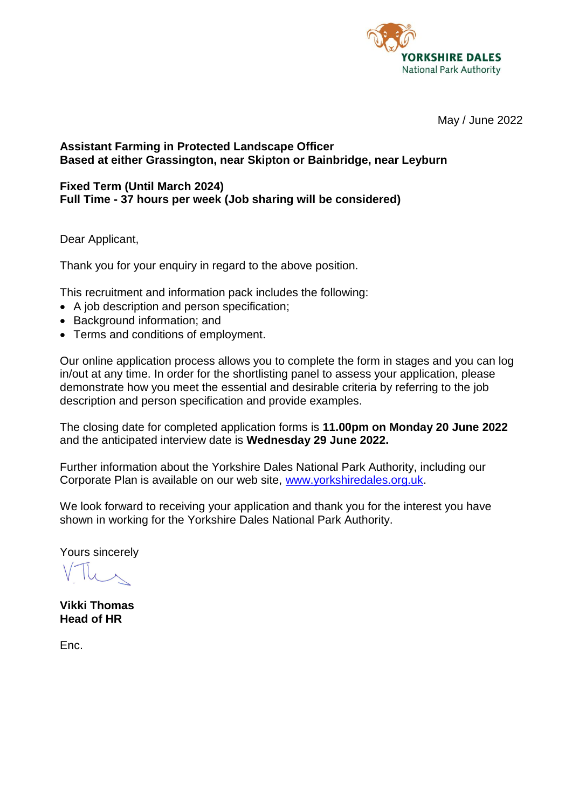

May / June 2022

# **Assistant Farming in Protected Landscape Officer Based at either Grassington, near Skipton or Bainbridge, near Leyburn**

#### **Fixed Term (Until March 2024) Full Time - 37 hours per week (Job sharing will be considered)**

Dear Applicant,

Thank you for your enquiry in regard to the above position.

This recruitment and information pack includes the following:

- A job description and person specification;
- Background information; and
- Terms and conditions of employment.

Our online application process allows you to complete the form in stages and you can log in/out at any time. In order for the shortlisting panel to assess your application, please demonstrate how you meet the essential and desirable criteria by referring to the job description and person specification and provide examples.

The closing date for completed application forms is **11.00pm on Monday 20 June 2022** and the anticipated interview date is **Wednesday 29 June 2022.**

Further information about the Yorkshire Dales National Park Authority, including our Corporate Plan is available on our web site, [www.yorkshiredales.org.uk.](http://www.yorkshiredales.org.uk/)

We look forward to receiving your application and thank you for the interest you have shown in working for the Yorkshire Dales National Park Authority.

Yours sincerely

**Vikki Thomas Head of HR**

Enc.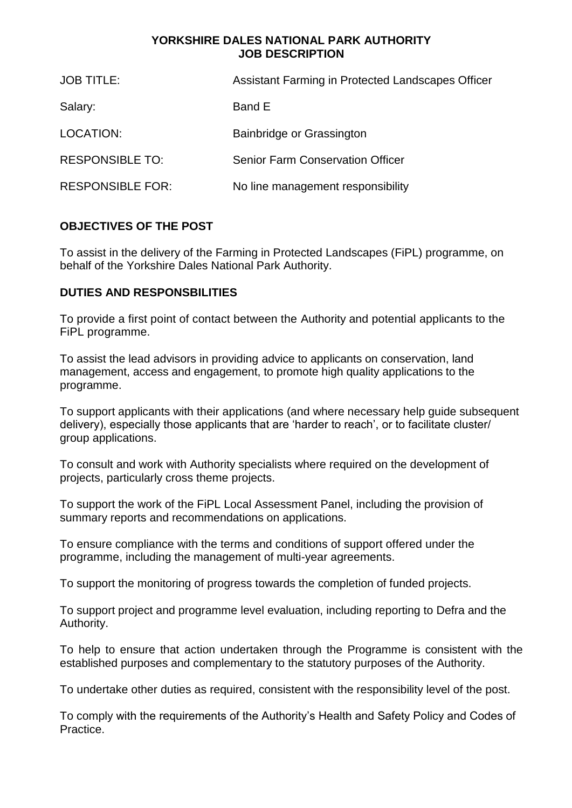## **YORKSHIRE DALES NATIONAL PARK AUTHORITY JOB DESCRIPTION**

| <b>JOB TITLE:</b>       | Assistant Farming in Protected Landscapes Officer |
|-------------------------|---------------------------------------------------|
| Salary:                 | Band E                                            |
| LOCATION:               | Bainbridge or Grassington                         |
| <b>RESPONSIBLE TO:</b>  | <b>Senior Farm Conservation Officer</b>           |
| <b>RESPONSIBLE FOR:</b> | No line management responsibility                 |

# **OBJECTIVES OF THE POST**

To assist in the delivery of the Farming in Protected Landscapes (FiPL) programme, on behalf of the Yorkshire Dales National Park Authority.

# **DUTIES AND RESPONSBILITIES**

To provide a first point of contact between the Authority and potential applicants to the FiPL programme.

To assist the lead advisors in providing advice to applicants on conservation, land management, access and engagement, to promote high quality applications to the programme.

To support applicants with their applications (and where necessary help guide subsequent delivery), especially those applicants that are 'harder to reach', or to facilitate cluster/ group applications.

To consult and work with Authority specialists where required on the development of projects, particularly cross theme projects.

To support the work of the FiPL Local Assessment Panel, including the provision of summary reports and recommendations on applications.

To ensure compliance with the terms and conditions of support offered under the programme, including the management of multi-year agreements.

To support the monitoring of progress towards the completion of funded projects.

To support project and programme level evaluation, including reporting to Defra and the Authority.

To help to ensure that action undertaken through the Programme is consistent with the established purposes and complementary to the statutory purposes of the Authority.

To undertake other duties as required, consistent with the responsibility level of the post.

To comply with the requirements of the Authority's Health and Safety Policy and Codes of Practice.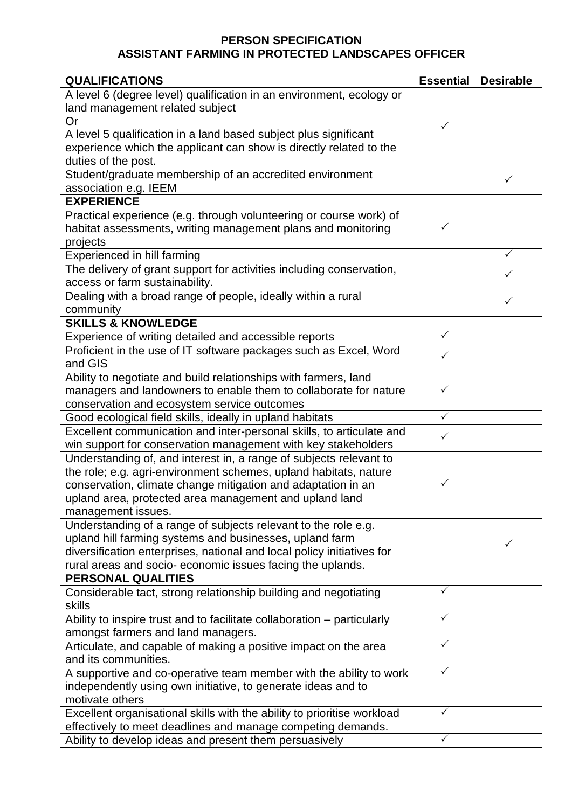# **PERSON SPECIFICATION ASSISTANT FARMING IN PROTECTED LANDSCAPES OFFICER**

| <b>QUALIFICATIONS</b>                                                                                                     | <b>Essential</b> | <b>Desirable</b> |  |
|---------------------------------------------------------------------------------------------------------------------------|------------------|------------------|--|
| A level 6 (degree level) qualification in an environment, ecology or                                                      |                  |                  |  |
| land management related subject                                                                                           |                  |                  |  |
| <b>Or</b>                                                                                                                 | ✓                |                  |  |
| A level 5 qualification in a land based subject plus significant                                                          |                  |                  |  |
| experience which the applicant can show is directly related to the                                                        |                  |                  |  |
| duties of the post.                                                                                                       |                  |                  |  |
| Student/graduate membership of an accredited environment                                                                  |                  | ✓                |  |
| association e.g. IEEM                                                                                                     |                  |                  |  |
| <b>EXPERIENCE</b>                                                                                                         |                  |                  |  |
| Practical experience (e.g. through volunteering or course work) of                                                        |                  |                  |  |
| habitat assessments, writing management plans and monitoring                                                              | ✓                |                  |  |
| projects                                                                                                                  |                  |                  |  |
| Experienced in hill farming                                                                                               |                  |                  |  |
| The delivery of grant support for activities including conservation,                                                      |                  |                  |  |
| access or farm sustainability.                                                                                            |                  |                  |  |
| Dealing with a broad range of people, ideally within a rural                                                              |                  | ✓                |  |
| community                                                                                                                 |                  |                  |  |
| <b>SKILLS &amp; KNOWLEDGE</b>                                                                                             |                  |                  |  |
| Experience of writing detailed and accessible reports                                                                     | $\checkmark$     |                  |  |
| Proficient in the use of IT software packages such as Excel, Word                                                         | $\checkmark$     |                  |  |
| and GIS                                                                                                                   |                  |                  |  |
| Ability to negotiate and build relationships with farmers, land                                                           |                  |                  |  |
| managers and landowners to enable them to collaborate for nature                                                          | ✓                |                  |  |
| conservation and ecosystem service outcomes                                                                               |                  |                  |  |
| Good ecological field skills, ideally in upland habitats                                                                  | $\sqrt{}$        |                  |  |
| Excellent communication and inter-personal skills, to articulate and                                                      |                  |                  |  |
| win support for conservation management with key stakeholders                                                             |                  |                  |  |
| Understanding of, and interest in, a range of subjects relevant to                                                        |                  |                  |  |
| the role; e.g. agri-environment schemes, upland habitats, nature                                                          |                  |                  |  |
| conservation, climate change mitigation and adaptation in an                                                              | ✓                |                  |  |
| upland area, protected area management and upland land                                                                    |                  |                  |  |
| management issues.                                                                                                        |                  |                  |  |
| Understanding of a range of subjects relevant to the role e.g.<br>upland hill farming systems and businesses, upland farm |                  |                  |  |
| diversification enterprises, national and local policy initiatives for                                                    |                  | ✓                |  |
| rural areas and socio-economic issues facing the uplands.                                                                 |                  |                  |  |
| PERSONAL QUALITIES                                                                                                        |                  |                  |  |
| Considerable tact, strong relationship building and negotiating                                                           |                  |                  |  |
| skills                                                                                                                    |                  |                  |  |
| Ability to inspire trust and to facilitate collaboration - particularly                                                   | ✓                |                  |  |
| amongst farmers and land managers.                                                                                        |                  |                  |  |
| Articulate, and capable of making a positive impact on the area                                                           | ✓                |                  |  |
| and its communities.                                                                                                      |                  |                  |  |
| A supportive and co-operative team member with the ability to work                                                        |                  |                  |  |
| independently using own initiative, to generate ideas and to                                                              |                  |                  |  |
| motivate others                                                                                                           |                  |                  |  |
| Excellent organisational skills with the ability to prioritise workload                                                   |                  |                  |  |
| effectively to meet deadlines and manage competing demands.                                                               |                  |                  |  |
| Ability to develop ideas and present them persuasively                                                                    |                  |                  |  |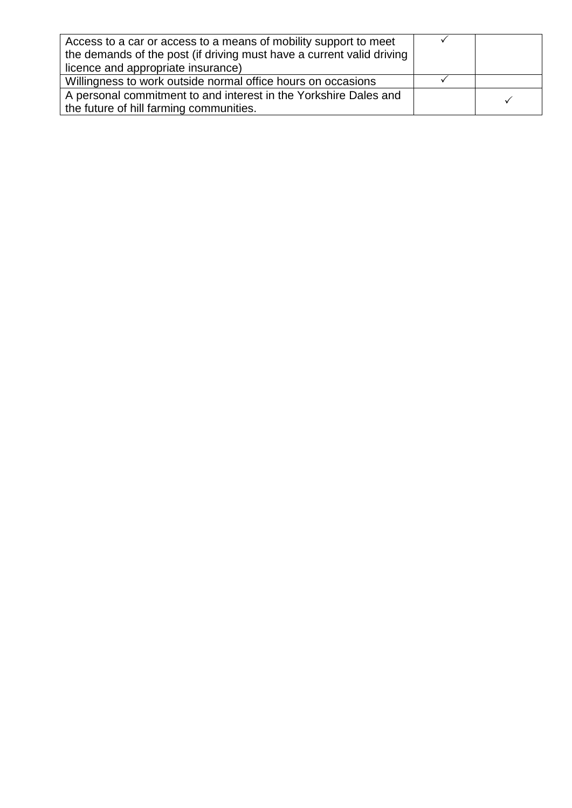| Access to a car or access to a means of mobility support to meet<br>the demands of the post (if driving must have a current valid driving |  |  |
|-------------------------------------------------------------------------------------------------------------------------------------------|--|--|
| licence and appropriate insurance)                                                                                                        |  |  |
| Willingness to work outside normal office hours on occasions                                                                              |  |  |
| A personal commitment to and interest in the Yorkshire Dales and                                                                          |  |  |
| the future of hill farming communities.                                                                                                   |  |  |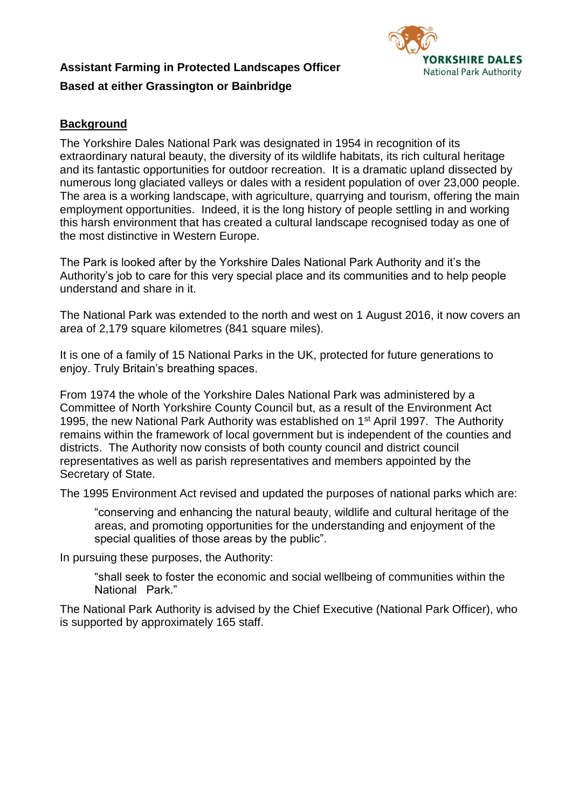# **Assistant Farming in Protected Landscapes Officer Based at either Grassington or Bainbridge**



# **Background**

The Yorkshire Dales National Park was designated in 1954 in recognition of its extraordinary natural beauty, the diversity of its wildlife habitats, its rich cultural heritage and its fantastic opportunities for outdoor recreation. It is a dramatic upland dissected by numerous long glaciated valleys or dales with a resident population of over 23,000 people. The area is a working landscape, with agriculture, quarrying and tourism, offering the main employment opportunities. Indeed, it is the long history of people settling in and working this harsh environment that has created a cultural landscape recognised today as one of the most distinctive in Western Europe.

The Park is looked after by the Yorkshire Dales National Park Authority and it's the Authority's job to care for this very special place and its communities and to help people understand and share in it.

The National Park was extended to the north and west on 1 August 2016, it now covers an area of 2,179 square kilometres (841 square miles).

It is one of a family of 15 National Parks in the UK, protected for future generations to enjoy. Truly Britain's breathing spaces.

From 1974 the whole of the Yorkshire Dales National Park was administered by a Committee of North Yorkshire County Council but, as a result of the Environment Act 1995, the new National Park Authority was established on 1<sup>st</sup> April 1997. The Authority remains within the framework of local government but is independent of the counties and districts. The Authority now consists of both county council and district council representatives as well as parish representatives and members appointed by the Secretary of State.

The 1995 Environment Act revised and updated the purposes of national parks which are:

"conserving and enhancing the natural beauty, wildlife and cultural heritage of the areas, and promoting opportunities for the understanding and enjoyment of the special qualities of those areas by the public".

In pursuing these purposes, the Authority:

"shall seek to foster the economic and social wellbeing of communities within the National Park."

The National Park Authority is advised by the Chief Executive (National Park Officer), who is supported by approximately 165 staff.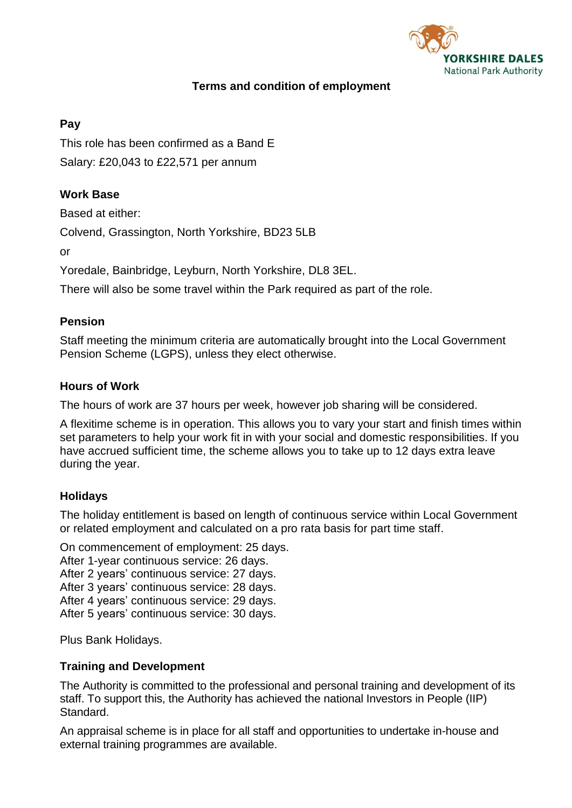

# **Terms and condition of employment**

# **Pay**

This role has been confirmed as a Band E Salary: £20,043 to £22,571 per annum

# **Work Base**

Based at either:

Colvend, Grassington, North Yorkshire, BD23 5LB

or

Yoredale, Bainbridge, Leyburn, North Yorkshire, DL8 3EL.

There will also be some travel within the Park required as part of the role.

## **Pension**

Staff meeting the minimum criteria are automatically brought into the Local Government Pension Scheme (LGPS), unless they elect otherwise.

## **Hours of Work**

The hours of work are 37 hours per week, however job sharing will be considered.

A flexitime scheme is in operation. This allows you to vary your start and finish times within set parameters to help your work fit in with your social and domestic responsibilities. If you have accrued sufficient time, the scheme allows you to take up to 12 days extra leave during the year.

# **Holidays**

The holiday entitlement is based on length of continuous service within Local Government or related employment and calculated on a pro rata basis for part time staff.

On commencement of employment: 25 days.

After 1-year continuous service: 26 days.

After 2 years' continuous service: 27 days.

After 3 years' continuous service: 28 days.

After 4 years' continuous service: 29 days.

After 5 years' continuous service: 30 days.

Plus Bank Holidays.

#### **Training and Development**

The Authority is committed to the professional and personal training and development of its staff. To support this, the Authority has achieved the national Investors in People (IIP) Standard.

An appraisal scheme is in place for all staff and opportunities to undertake in-house and external training programmes are available.